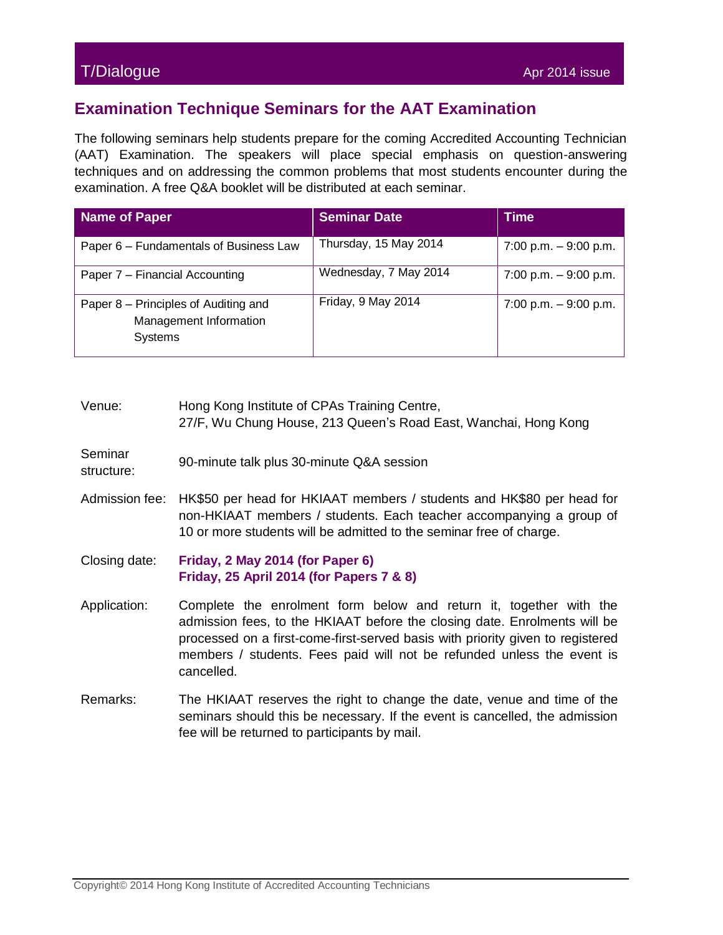## T/Dialogue Apr 2014 issue

## **Examination Technique Seminars for the AAT Examination**

The following seminars help students prepare for the coming Accredited Accounting Technician (AAT) Examination. The speakers will place special emphasis on question-answering techniques and on addressing the common problems that most students encounter during the examination. A free Q&A booklet will be distributed at each seminar.

| Name of Paper                                                             | <b>Seminar Date</b>   | <b>Time</b>              |
|---------------------------------------------------------------------------|-----------------------|--------------------------|
| Paper 6 – Fundamentals of Business Law                                    | Thursday, 15 May 2014 | $7:00$ p.m. $-9:00$ p.m. |
| Paper 7 - Financial Accounting                                            | Wednesday, 7 May 2014 | 7:00 p.m. $-9:00$ p.m.   |
| Paper 8 – Principles of Auditing and<br>Management Information<br>Systems | Friday, 9 May 2014    | $7:00$ p.m. $-9:00$ p.m. |

| Venue:                | Hong Kong Institute of CPAs Training Centre,<br>27/F, Wu Chung House, 213 Queen's Road East, Wanchai, Hong Kong                                                                                                                                                                                                           |
|-----------------------|---------------------------------------------------------------------------------------------------------------------------------------------------------------------------------------------------------------------------------------------------------------------------------------------------------------------------|
| Seminar<br>structure: | 90-minute talk plus 30-minute Q&A session                                                                                                                                                                                                                                                                                 |
| Admission fee:        | HK\$50 per head for HKIAAT members / students and HK\$80 per head for<br>non-HKIAAT members / students. Each teacher accompanying a group of<br>10 or more students will be admitted to the seminar free of charge.                                                                                                       |
| Closing date:         | Friday, 2 May 2014 (for Paper 6)<br>Friday, 25 April 2014 (for Papers 7 & 8)                                                                                                                                                                                                                                              |
| Application:          | Complete the enrolment form below and return it, together with the<br>admission fees, to the HKIAAT before the closing date. Enrolments will be<br>processed on a first-come-first-served basis with priority given to registered<br>members / students. Fees paid will not be refunded unless the event is<br>cancelled. |
| Remarks:              | The HKIAAT reserves the right to change the date, venue and time of the<br>seminars should this be necessary. If the event is cancelled, the admission<br>fee will be returned to participants by mail.                                                                                                                   |